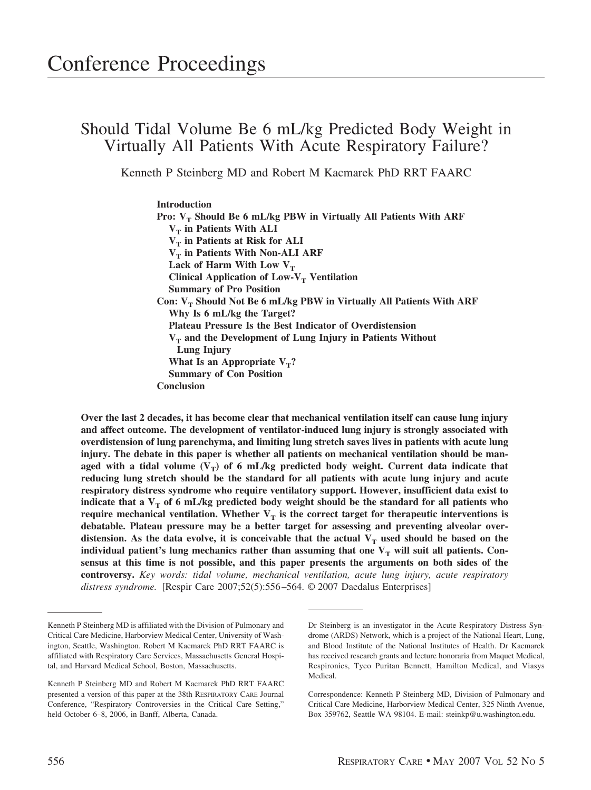# Should Tidal Volume Be 6 mL/kg Predicted Body Weight in Virtually All Patients With Acute Respiratory Failure?

Kenneth P Steinberg MD and Robert M Kacmarek PhD RRT FAARC

# **Introduction**

Pro: V<sub>T</sub> Should Be 6 mL/kg PBW in Virtually All Patients With ARF  $V_T$  in Patients With ALI  $V_T$  in Patients at Risk for ALI  $V_T$  in Patients With Non-ALI ARF Lack of Harm With Low  $V_T$ **Clinical Application of Low-V<sub>T</sub> Ventilation Summary of Pro Position** Con: V<sub>T</sub> Should Not Be 6 mL/kg PBW in Virtually All Patients With ARF **Why Is 6 mL/kg the Target? Plateau Pressure Is the Best Indicator of Overdistension** V<sub>T</sub> and the Development of Lung Injury in Patients Without **Lung Injury** What Is an Appropriate  $V_T$ ? **Summary of Con Position Conclusion**

**Over the last 2 decades, it has become clear that mechanical ventilation itself can cause lung injury and affect outcome. The development of ventilator-induced lung injury is strongly associated with overdistension of lung parenchyma, and limiting lung stretch saves lives in patients with acute lung injury. The debate in this paper is whether all patients on mechanical ventilation should be man**aged with a tidal volume  $(V_T)$  of 6 mL/kg predicted body weight. Current data indicate that **reducing lung stretch should be the standard for all patients with acute lung injury and acute respiratory distress syndrome who require ventilatory support. However, insufficient data exist to indicate that a**  $V_T$  **of 6 mL/kg predicted body weight should be the standard for all patients who require mechanical ventilation. Whether**  $V_T$  **is the correct target for therapeutic interventions is debatable. Plateau pressure may be a better target for assessing and preventing alveolar over**distension. As the data evolve, it is conceivable that the actual  $V_T$  used should be based on the individual patient's lung mechanics rather than assuming that one  $V_T$  will suit all patients. Con**sensus at this time is not possible, and this paper presents the arguments on both sides of the controversy.** *Key words: tidal volume, mechanical ventilation, acute lung injury, acute respiratory distress syndrome.* [Respir Care 2007;52(5):556 –564. © 2007 Daedalus Enterprises]

Kenneth P Steinberg MD is affiliated with the Division of Pulmonary and Critical Care Medicine, Harborview Medical Center, University of Washington, Seattle, Washington. Robert M Kacmarek PhD RRT FAARC is affiliated with Respiratory Care Services, Massachusetts General Hospital, and Harvard Medical School, Boston, Massachusetts.

Kenneth P Steinberg MD and Robert M Kacmarek PhD RRT FAARC presented a version of this paper at the 38th RESPIRATORY CARE Journal Conference, "Respiratory Controversies in the Critical Care Setting," held October 6–8, 2006, in Banff, Alberta, Canada.

Dr Steinberg is an investigator in the Acute Respiratory Distress Syndrome (ARDS) Network, which is a project of the National Heart, Lung, and Blood Institute of the National Institutes of Health. Dr Kacmarek has received research grants and lecture honoraria from Maquet Medical, Respironics, Tyco Puritan Bennett, Hamilton Medical, and Viasys Medical.

Correspondence: Kenneth P Steinberg MD, Division of Pulmonary and Critical Care Medicine, Harborview Medical Center, 325 Ninth Avenue, Box 359762, Seattle WA 98104. E-mail: steinkp@u.washington.edu.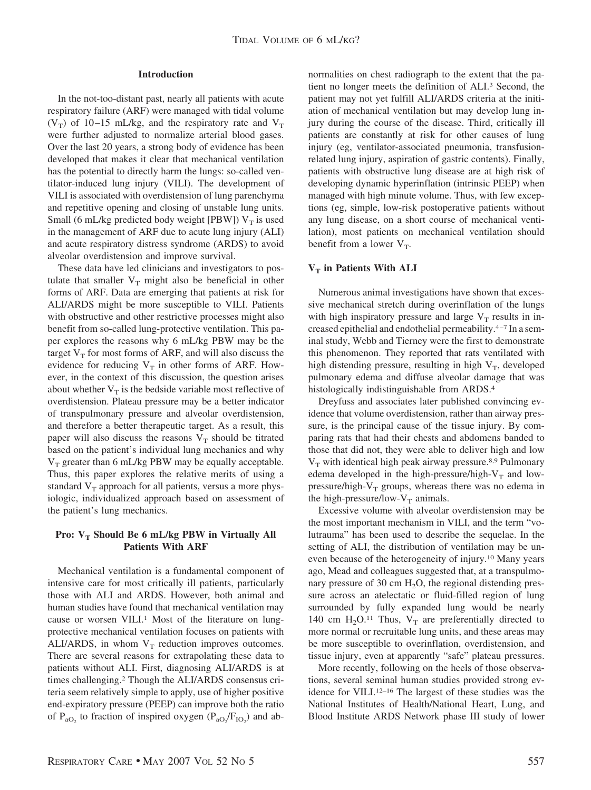# **Introduction**

In the not-too-distant past, nearly all patients with acute respiratory failure (ARF) were managed with tidal volume (V<sub>T</sub>) of 10–15 mL/kg, and the respiratory rate and V<sub>T</sub> were further adjusted to normalize arterial blood gases. Over the last 20 years, a strong body of evidence has been developed that makes it clear that mechanical ventilation has the potential to directly harm the lungs: so-called ventilator-induced lung injury (VILI). The development of VILI is associated with overdistension of lung parenchyma and repetitive opening and closing of unstable lung units. Small (6 mL/kg predicted body weight [PBW])  $V_T$  is used in the management of ARF due to acute lung injury (ALI) and acute respiratory distress syndrome (ARDS) to avoid alveolar overdistension and improve survival.

These data have led clinicians and investigators to postulate that smaller  $V_T$  might also be beneficial in other forms of ARF. Data are emerging that patients at risk for ALI/ARDS might be more susceptible to VILI. Patients with obstructive and other restrictive processes might also benefit from so-called lung-protective ventilation. This paper explores the reasons why 6 mL/kg PBW may be the target  $V_T$  for most forms of ARF, and will also discuss the evidence for reducing  $V_T$  in other forms of ARF. However, in the context of this discussion, the question arises about whether  $V_T$  is the bedside variable most reflective of overdistension. Plateau pressure may be a better indicator of transpulmonary pressure and alveolar overdistension, and therefore a better therapeutic target. As a result, this paper will also discuss the reasons  $V_T$  should be titrated based on the patient's individual lung mechanics and why  $V_T$  greater than 6 mL/kg PBW may be equally acceptable. Thus, this paper explores the relative merits of using a standard  $V_T$  approach for all patients, versus a more physiologic, individualized approach based on assessment of the patient's lung mechanics.

# **Pro:** V<sub>T</sub> Should Be 6 mL/kg PBW in Virtually All **Patients With ARF**

Mechanical ventilation is a fundamental component of intensive care for most critically ill patients, particularly those with ALI and ARDS. However, both animal and human studies have found that mechanical ventilation may cause or worsen VILI.<sup>1</sup> Most of the literature on lungprotective mechanical ventilation focuses on patients with ALI/ARDS, in whom  $V_T$  reduction improves outcomes. There are several reasons for extrapolating these data to patients without ALI. First, diagnosing ALI/ARDS is at times challenging.2 Though the ALI/ARDS consensus criteria seem relatively simple to apply, use of higher positive end-expiratory pressure (PEEP) can improve both the ratio of  $P_{aO_2}$  to fraction of inspired oxygen ( $P_{aO_2}/F_{IO_2}$ ) and abnormalities on chest radiograph to the extent that the patient no longer meets the definition of ALI.3 Second, the patient may not yet fulfill ALI/ARDS criteria at the initiation of mechanical ventilation but may develop lung injury during the course of the disease. Third, critically ill patients are constantly at risk for other causes of lung injury (eg, ventilator-associated pneumonia, transfusionrelated lung injury, aspiration of gastric contents). Finally, patients with obstructive lung disease are at high risk of developing dynamic hyperinflation (intrinsic PEEP) when managed with high minute volume. Thus, with few exceptions (eg, simple, low-risk postoperative patients without any lung disease, on a short course of mechanical ventilation), most patients on mechanical ventilation should benefit from a lower  $V_T$ .

# $V_T$  in Patients With ALI

Numerous animal investigations have shown that excessive mechanical stretch during overinflation of the lungs with high inspiratory pressure and large  $V_T$  results in increased epithelial and endothelial permeability.4 –7 In a seminal study, Webb and Tierney were the first to demonstrate this phenomenon. They reported that rats ventilated with high distending pressure, resulting in high  $V_T$ , developed pulmonary edema and diffuse alveolar damage that was histologically indistinguishable from ARDS.4

Dreyfuss and associates later published convincing evidence that volume overdistension, rather than airway pressure, is the principal cause of the tissue injury. By comparing rats that had their chests and abdomens banded to those that did not, they were able to deliver high and low  $V_T$  with identical high peak airway pressure.<sup>8,9</sup> Pulmonary edema developed in the high-pressure/high- $V_T$  and lowpressure/high- $V_T$  groups, whereas there was no edema in the high-pressure/low- $V_T$  animals.

Excessive volume with alveolar overdistension may be the most important mechanism in VILI, and the term "volutrauma" has been used to describe the sequelae. In the setting of ALI, the distribution of ventilation may be uneven because of the heterogeneity of injury.10 Many years ago, Mead and colleagues suggested that, at a transpulmonary pressure of 30 cm  $H<sub>2</sub>O$ , the regional distending pressure across an atelectatic or fluid-filled region of lung surrounded by fully expanded lung would be nearly 140 cm  $H_2O^{11}$  Thus,  $V_T$  are preferentially directed to more normal or recruitable lung units, and these areas may be more susceptible to overinflation, overdistension, and tissue injury, even at apparently "safe" plateau pressures.

More recently, following on the heels of those observations, several seminal human studies provided strong evidence for VILI.12–16 The largest of these studies was the National Institutes of Health/National Heart, Lung, and Blood Institute ARDS Network phase III study of lower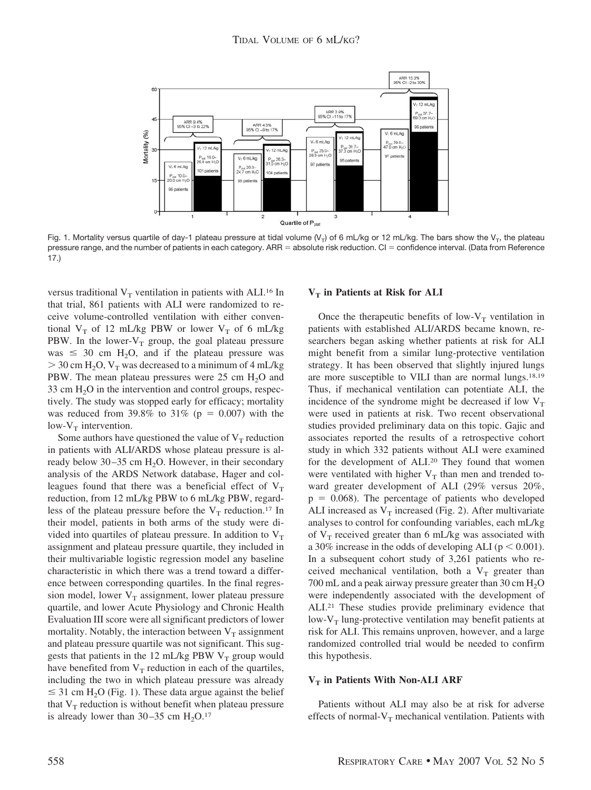

Fig. 1. Mortality versus quartile of day-1 plateau pressure at tidal volume (V<sub>T</sub>) of 6 mL/kg or 12 mL/kg. The bars show the V<sub>T</sub>, the plateau pressure range, and the number of patients in each category. ARR = absolute risk reduction. Cl = confidence interval. (Data from Reference 17.)

versus traditional  $V_T$  ventilation in patients with ALI.<sup>16</sup> In that trial, 861 patients with ALI were randomized to receive volume-controlled ventilation with either conventional  $V_T$  of 12 mL/kg PBW or lower  $V_T$  of 6 mL/kg PBW. In the lower- $V_T$  group, the goal plateau pressure was  $\leq$  30 cm H<sub>2</sub>O, and if the plateau pressure was  $>$  30 cm H<sub>2</sub>O, V<sub>T</sub> was decreased to a minimum of 4 mL/kg PBW. The mean plateau pressures were  $25 \text{ cm } H_2\text{O}$  and 33 cm  $H<sub>2</sub>O$  in the intervention and control groups, respectively. The study was stopped early for efficacy; mortality was reduced from 39.8% to 31% ( $p = 0.007$ ) with the low- $V_T$  intervention.

Some authors have questioned the value of  $V_T$  reduction in patients with ALI/ARDS whose plateau pressure is already below  $30-35$  cm H<sub>2</sub>O. However, in their secondary analysis of the ARDS Network database, Hager and colleagues found that there was a beneficial effect of  $V_T$ reduction, from 12 mL/kg PBW to 6 mL/kg PBW, regardless of the plateau pressure before the  $V_T$  reduction.<sup>17</sup> In their model, patients in both arms of the study were divided into quartiles of plateau pressure. In addition to  $V<sub>T</sub>$ assignment and plateau pressure quartile, they included in their multivariable logistic regression model any baseline characteristic in which there was a trend toward a difference between corresponding quartiles. In the final regression model, lower  $V_T$  assignment, lower plateau pressure quartile, and lower Acute Physiology and Chronic Health Evaluation III score were all significant predictors of lower mortality. Notably, the interaction between  $V_T$  assignment and plateau pressure quartile was not significant. This suggests that patients in the 12 mL/kg PBW  $V_T$  group would have benefited from  $V_T$  reduction in each of the quartiles, including the two in which plateau pressure was already  $\leq$  31 cm H<sub>2</sub>O (Fig. 1). These data argue against the belief that  $V_T$  reduction is without benefit when plateau pressure is already lower than  $30-35$  cm  $H<sub>2</sub>O<sub>17</sub>$ 

## **V<sub>T</sub>** in Patients at Risk for ALI

Once the therapeutic benefits of low- $V_T$  ventilation in patients with established ALI/ARDS became known, researchers began asking whether patients at risk for ALI might benefit from a similar lung-protective ventilation strategy. It has been observed that slightly injured lungs are more susceptible to VILI than are normal lungs.18,19 Thus, if mechanical ventilation can potentiate ALI, the incidence of the syndrome might be decreased if low  $V_T$ were used in patients at risk. Two recent observational studies provided preliminary data on this topic. Gajic and associates reported the results of a retrospective cohort study in which 332 patients without ALI were examined for the development of ALI.20 They found that women were ventilated with higher  $V_T$  than men and trended toward greater development of ALI (29% versus 20%,  $p = 0.068$ ). The percentage of patients who developed ALI increased as  $V_T$  increased (Fig. 2). After multivariate analyses to control for confounding variables, each mL/kg of  $V_T$  received greater than 6 mL/kg was associated with a 30% increase in the odds of developing ALI ( $p < 0.001$ ). In a subsequent cohort study of 3,261 patients who received mechanical ventilation, both a  $V_T$  greater than 700 mL and a peak airway pressure greater than 30 cm  $H_2O$ were independently associated with the development of ALI.21 These studies provide preliminary evidence that low- $V_T$  lung-protective ventilation may benefit patients at risk for ALI. This remains unproven, however, and a large randomized controlled trial would be needed to confirm this hypothesis.

## **V<sub>T</sub>** in Patients With Non-ALI ARF

Patients without ALI may also be at risk for adverse effects of normal- $V_T$  mechanical ventilation. Patients with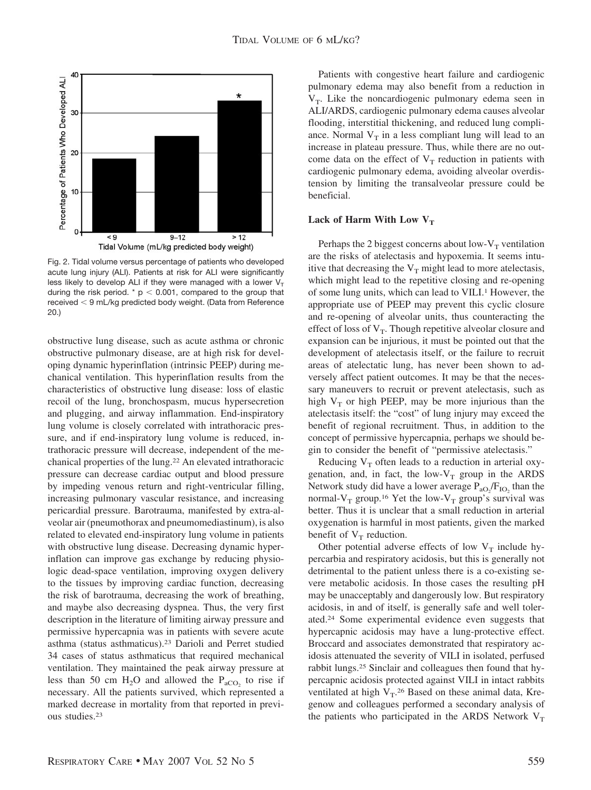

Fig. 2. Tidal volume versus percentage of patients who developed acute lung injury (ALI). Patients at risk for ALI were significantly less likely to develop ALI if they were managed with a lower  $V<sub>T</sub>$ during the risk period. \*  $p < 0.001$ , compared to the group that  $r$ eceived  $<$  9 mL/kg predicted body weight. (Data from Reference 20.)

obstructive lung disease, such as acute asthma or chronic obstructive pulmonary disease, are at high risk for developing dynamic hyperinflation (intrinsic PEEP) during mechanical ventilation. This hyperinflation results from the characteristics of obstructive lung disease: loss of elastic recoil of the lung, bronchospasm, mucus hypersecretion and plugging, and airway inflammation. End-inspiratory lung volume is closely correlated with intrathoracic pressure, and if end-inspiratory lung volume is reduced, intrathoracic pressure will decrease, independent of the mechanical properties of the lung.22 An elevated intrathoracic pressure can decrease cardiac output and blood pressure by impeding venous return and right-ventricular filling, increasing pulmonary vascular resistance, and increasing pericardial pressure. Barotrauma, manifested by extra-alveolar air (pneumothorax and pneumomediastinum), is also related to elevated end-inspiratory lung volume in patients with obstructive lung disease. Decreasing dynamic hyperinflation can improve gas exchange by reducing physiologic dead-space ventilation, improving oxygen delivery to the tissues by improving cardiac function, decreasing the risk of barotrauma, decreasing the work of breathing, and maybe also decreasing dyspnea. Thus, the very first description in the literature of limiting airway pressure and permissive hypercapnia was in patients with severe acute asthma (status asthmaticus).23 Darioli and Perret studied 34 cases of status asthmaticus that required mechanical ventilation. They maintained the peak airway pressure at less than 50 cm  $H_2O$  and allowed the  $P_{aCO_2}$  to rise if necessary. All the patients survived, which represented a marked decrease in mortality from that reported in previous studies.23

Patients with congestive heart failure and cardiogenic pulmonary edema may also benefit from a reduction in  $V_T$ . Like the noncardiogenic pulmonary edema seen in ALI/ARDS, cardiogenic pulmonary edema causes alveolar flooding, interstitial thickening, and reduced lung compliance. Normal  $V_T$  in a less compliant lung will lead to an increase in plateau pressure. Thus, while there are no outcome data on the effect of  $V_T$  reduction in patients with cardiogenic pulmonary edema, avoiding alveolar overdistension by limiting the transalveolar pressure could be beneficial.

# Lack of Harm With Low V<sub>T</sub>

Perhaps the 2 biggest concerns about low- $V_T$  ventilation are the risks of atelectasis and hypoxemia. It seems intuitive that decreasing the  $V_T$  might lead to more atelectasis, which might lead to the repetitive closing and re-opening of some lung units, which can lead to VILI.<sup>1</sup> However, the appropriate use of PEEP may prevent this cyclic closure and re-opening of alveolar units, thus counteracting the effect of loss of  $V_T$ . Though repetitive alveolar closure and expansion can be injurious, it must be pointed out that the development of atelectasis itself, or the failure to recruit areas of atelectatic lung, has never been shown to adversely affect patient outcomes. It may be that the necessary maneuvers to recruit or prevent atelectasis, such as high  $V_T$  or high PEEP, may be more injurious than the atelectasis itself: the "cost" of lung injury may exceed the benefit of regional recruitment. Thus, in addition to the concept of permissive hypercapnia, perhaps we should begin to consider the benefit of "permissive atelectasis."

Reducing  $V_T$  often leads to a reduction in arterial oxygenation, and, in fact, the low- $V_T$  group in the ARDS Network study did have a lower average  $P_{aO_2}/F_{IO_2}$  than the normal- $V_T$  group.<sup>16</sup> Yet the low- $V_T$  group's survival was better. Thus it is unclear that a small reduction in arterial oxygenation is harmful in most patients, given the marked benefit of  $V_T$  reduction.

Other potential adverse effects of low  $V_T$  include hypercarbia and respiratory acidosis, but this is generally not detrimental to the patient unless there is a co-existing severe metabolic acidosis. In those cases the resulting pH may be unacceptably and dangerously low. But respiratory acidosis, in and of itself, is generally safe and well tolerated.24 Some experimental evidence even suggests that hypercapnic acidosis may have a lung-protective effect. Broccard and associates demonstrated that respiratory acidosis attenuated the severity of VILI in isolated, perfused rabbit lungs.25 Sinclair and colleagues then found that hypercapnic acidosis protected against VILI in intact rabbits ventilated at high  $V_T$ .<sup>26</sup> Based on these animal data, Kregenow and colleagues performed a secondary analysis of the patients who participated in the ARDS Network  $V_T$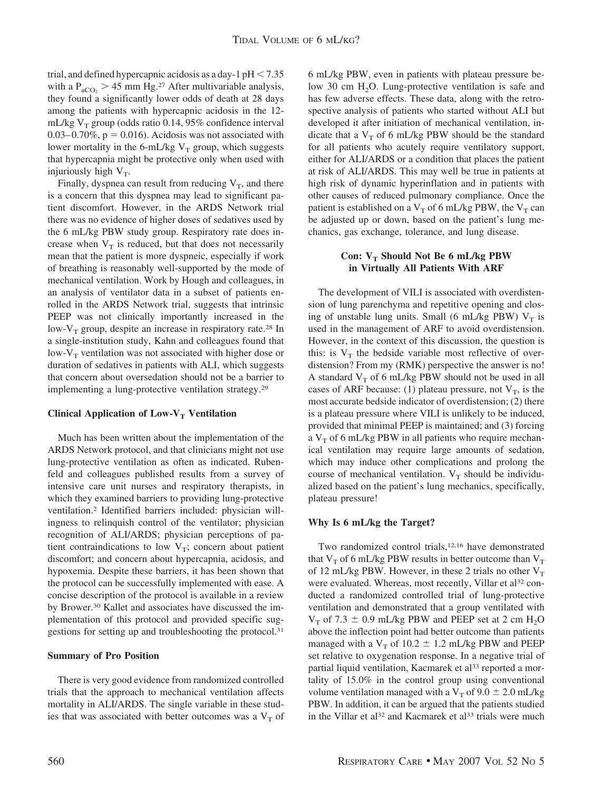trial, and defined hypercapnic acidosis as a day-1  $pH < 7.35$ with a  $P_{aCO_2}$  > 45 mm Hg.<sup>27</sup> After multivariable analysis, they found a significantly lower odds of death at 28 days among the patients with hypercapnic acidosis in the 12 mL/kg  $V_T$  group (odds ratio 0.14, 95% confidence interval  $0.03-0.70\%$ ,  $p = 0.016$ ). Acidosis was not associated with lower mortality in the 6-mL/kg  $V_T$  group, which suggests that hypercapnia might be protective only when used with injuriously high  $V_T$ .

Finally, dyspnea can result from reducing  $V_T$ , and there is a concern that this dyspnea may lead to significant patient discomfort. However, in the ARDS Network trial there was no evidence of higher doses of sedatives used by the 6 mL/kg PBW study group. Respiratory rate does increase when  $V_T$  is reduced, but that does not necessarily mean that the patient is more dyspneic, especially if work of breathing is reasonably well-supported by the mode of mechanical ventilation. Work by Hough and colleagues, in an analysis of ventilator data in a subset of patients enrolled in the ARDS Network trial, suggests that intrinsic PEEP was not clinically importantly increased in the low- $V_T$  group, despite an increase in respiratory rate.<sup>28</sup> In a single-institution study, Kahn and colleagues found that low- $V_T$  ventilation was not associated with higher dose or duration of sedatives in patients with ALI, which suggests that concern about oversedation should not be a barrier to implementing a lung-protective ventilation strategy.29

# **Clinical Application of Low-V<sub>T</sub> Ventilation**

Much has been written about the implementation of the ARDS Network protocol, and that clinicians might not use lung-protective ventilation as often as indicated. Rubenfeld and colleagues published results from a survey of intensive care unit nurses and respiratory therapists, in which they examined barriers to providing lung-protective ventilation.2 Identified barriers included: physician willingness to relinquish control of the ventilator; physician recognition of ALI/ARDS; physician perceptions of patient contraindications to low  $V_T$ ; concern about patient discomfort; and concern about hypercapnia, acidosis, and hypoxemia. Despite these barriers, it has been shown that the protocol can be successfully implemented with ease. A concise description of the protocol is available in a review by Brower.30 Kallet and associates have discussed the implementation of this protocol and provided specific suggestions for setting up and troubleshooting the protocol.31

# **Summary of Pro Position**

There is very good evidence from randomized controlled trials that the approach to mechanical ventilation affects mortality in ALI/ARDS. The single variable in these studies that was associated with better outcomes was a  $V<sub>T</sub>$  of 6 mL/kg PBW, even in patients with plateau pressure below 30 cm  $H<sub>2</sub>O$ . Lung-protective ventilation is safe and has few adverse effects. These data, along with the retrospective analysis of patients who started without ALI but developed it after initiation of mechanical ventilation, indicate that a  $V_T$  of 6 mL/kg PBW should be the standard for all patients who acutely require ventilatory support, either for ALI/ARDS or a condition that places the patient at risk of ALI/ARDS. This may well be true in patients at high risk of dynamic hyperinflation and in patients with other causes of reduced pulmonary compliance. Once the patient is established on a  $V_T$  of 6 mL/kg PBW, the  $V_T$  can be adjusted up or down, based on the patient's lung mechanics, gas exchange, tolerance, and lung disease.

# **Con:**  $V_T$  **Should Not Be 6 mL/kg PBW in Virtually All Patients With ARF**

The development of VILI is associated with overdistension of lung parenchyma and repetitive opening and closing of unstable lung units. Small (6 mL/kg PBW)  $V_T$  is used in the management of ARF to avoid overdistension. However, in the context of this discussion, the question is this: is  $V_T$  the bedside variable most reflective of overdistension? From my (RMK) perspective the answer is no! A standard  $V_T$  of 6 mL/kg PBW should not be used in all cases of ARF because: (1) plateau pressure, not  $V_T$ , is the most accurate bedside indicator of overdistension; (2) there is a plateau pressure where VILI is unlikely to be induced, provided that minimal PEEP is maintained; and (3) forcing a  $V_T$  of 6 mL/kg PBW in all patients who require mechanical ventilation may require large amounts of sedation, which may induce other complications and prolong the course of mechanical ventilation.  $V_T$  should be individualized based on the patient's lung mechanics, specifically, plateau pressure!

#### **Why Is 6 mL/kg the Target?**

Two randomized control trials,<sup>12,16</sup> have demonstrated that  $V_T$  of 6 mL/kg PBW results in better outcome than  $V_T$ of 12 mL/kg PBW. However, in these 2 trials no other  $V_T$ were evaluated. Whereas, most recently, Villar et al<sup>32</sup> conducted a randomized controlled trial of lung-protective ventilation and demonstrated that a group ventilated with  $V_T$  of 7.3  $\pm$  0.9 mL/kg PBW and PEEP set at 2 cm H<sub>2</sub>O above the inflection point had better outcome than patients managed with a  $V_T$  of 10.2  $\pm$  1.2 mL/kg PBW and PEEP set relative to oxygenation response. In a negative trial of partial liquid ventilation, Kacmarek et al<sup>33</sup> reported a mortality of 15.0% in the control group using conventional volume ventilation managed with a  $V_T$  of 9.0  $\pm$  2.0 mL/kg PBW. In addition, it can be argued that the patients studied in the Villar et al<sup>32</sup> and Kacmarek et al<sup>33</sup> trials were much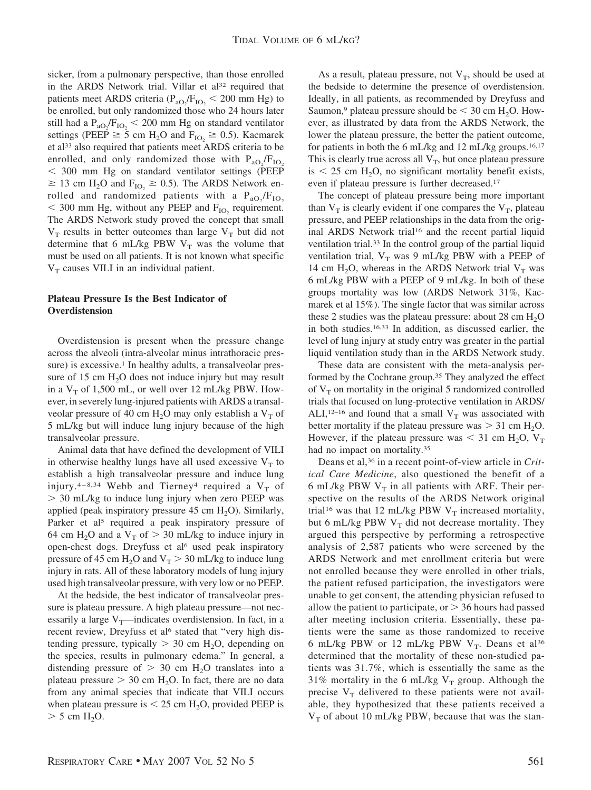sicker, from a pulmonary perspective, than those enrolled in the ARDS Network trial. Villar et al<sup>32</sup> required that patients meet ARDS criteria ( $P_{aO_2}/F_{IO_2}$  < 200 mm Hg) to be enrolled, but only randomized those who 24 hours later still had a  $P_{aO_2}/F_{IO_2}$  < 200 mm Hg on standard ventilator settings (PEEP  $\geq$  5 cm H<sub>2</sub>O and F<sub>IO<sub>2</sub></sub>  $\geq$  0.5). Kacmarek et al<sup>33</sup> also required that patients meet ARDS criteria to be enrolled, and only randomized those with  $P_{aO_2}/F_{IO_2}$  300 mm Hg on standard ventilator settings (PEEP  $\geq$  13 cm H<sub>2</sub>O and F<sub>IO<sub>2</sub></sub>  $\geq$  0.5). The ARDS Network enrolled and randomized patients with a  $P_{aO_2}/F_{IO_2}$  $<$  300 mm Hg, without any PEEP and F<sub>IO<sub>2</sub></sub> requirement. The ARDS Network study proved the concept that small  $V_T$  results in better outcomes than large  $V_T$  but did not determine that 6 mL/kg PBW  $V_T$  was the volume that must be used on all patients. It is not known what specific  $V_T$  causes VILI in an individual patient.

# **Plateau Pressure Is the Best Indicator of Overdistension**

Overdistension is present when the pressure change across the alveoli (intra-alveolar minus intrathoracic pressure) is excessive.<sup>1</sup> In healthy adults, a transalveolar pressure of 15 cm  $H<sub>2</sub>O$  does not induce injury but may result in a  $V_T$  of 1,500 mL, or well over 12 mL/kg PBW. However, in severely lung-injured patients with ARDS a transalveolar pressure of 40 cm  $H_2O$  may only establish a  $V_T$  of 5 mL/kg but will induce lung injury because of the high transalveolar pressure.

Animal data that have defined the development of VILI in otherwise healthy lungs have all used excessive  $V<sub>T</sub>$  to establish a high transalveolar pressure and induce lung injury.<sup>4-8,34</sup> Webb and Tierney<sup>4</sup> required a  $V<sub>T</sub>$  of 30 mL/kg to induce lung injury when zero PEEP was applied (peak inspiratory pressure  $45 \text{ cm H}_2\text{O}$ ). Similarly, Parker et al<sup>5</sup> required a peak inspiratory pressure of 64 cm H<sub>2</sub>O and a V<sub>T</sub> of  $> 30$  mL/kg to induce injury in open-chest dogs. Dreyfuss et al<sup>6</sup> used peak inspiratory pressure of 45 cm  $H_2O$  and  $V_T > 30$  mL/kg to induce lung injury in rats. All of these laboratory models of lung injury used high transalveolar pressure, with very low or no PEEP.

At the bedside, the best indicator of transalveolar pressure is plateau pressure. A high plateau pressure—not necessarily a large  $V_T$ —indicates overdistension. In fact, in a recent review, Dreyfuss et al<sup>6</sup> stated that "very high distending pressure, typically  $> 30$  cm H<sub>2</sub>O, depending on the species, results in pulmonary edema." In general, a distending pressure of  $> 30$  cm H<sub>2</sub>O translates into a plateau pressure  $> 30$  cm H<sub>2</sub>O. In fact, there are no data from any animal species that indicate that VILI occurs when plateau pressure is  $\leq 25$  cm H<sub>2</sub>O, provided PEEP is  $>$  5 cm H<sub>2</sub>O.

As a result, plateau pressure, not  $V_T$ , should be used at the bedside to determine the presence of overdistension. Ideally, in all patients, as recommended by Dreyfuss and Saumon,<sup>9</sup> plateau pressure should be  $\leq 30$  cm H<sub>2</sub>O. However, as illustrated by data from the ARDS Network, the lower the plateau pressure, the better the patient outcome, for patients in both the 6 mL/kg and 12 mL/kg groups.<sup>16,17</sup> This is clearly true across all  $V_T$ , but once plateau pressure is  $\leq$  25 cm H<sub>2</sub>O, no significant mortality benefit exists, even if plateau pressure is further decreased.17

The concept of plateau pressure being more important than  $V_T$  is clearly evident if one compares the  $V_T$ , plateau pressure, and PEEP relationships in the data from the original ARDS Network trial<sup>16</sup> and the recent partial liquid ventilation trial.33 In the control group of the partial liquid ventilation trial,  $V_T$  was 9 mL/kg PBW with a PEEP of 14 cm H<sub>2</sub>O, whereas in the ARDS Network trial  $V_T$  was 6 mL/kg PBW with a PEEP of 9 mL/kg. In both of these groups mortality was low (ARDS Network 31%, Kacmarek et al 15%). The single factor that was similar across these 2 studies was the plateau pressure: about  $28 \text{ cm H}_2\text{O}$ in both studies.16,33 In addition, as discussed earlier, the level of lung injury at study entry was greater in the partial liquid ventilation study than in the ARDS Network study.

These data are consistent with the meta-analysis performed by the Cochrane group.35 They analyzed the effect of  $V_T$  on mortality in the original 5 randomized controlled trials that focused on lung-protective ventilation in ARDS/ ALI,<sup>12–16</sup> and found that a small  $V_T$  was associated with better mortality if the plateau pressure was  $> 31$  cm H<sub>2</sub>O. However, if the plateau pressure was  $<$  31 cm H<sub>2</sub>O, V<sub>T</sub> had no impact on mortality.35

Deans et al,36 in a recent point-of-view article in *Critical Care Medicine*, also questioned the benefit of a 6 mL/kg PBW  $V_T$  in all patients with ARF. Their perspective on the results of the ARDS Network original trial<sup>16</sup> was that 12 mL/kg PBW  $V_T$  increased mortality, but 6 mL/kg PBW  $V_T$  did not decrease mortality. They argued this perspective by performing a retrospective analysis of 2,587 patients who were screened by the ARDS Network and met enrollment criteria but were not enrolled because they were enrolled in other trials, the patient refused participation, the investigators were unable to get consent, the attending physician refused to allow the patient to participate, or  $>$  36 hours had passed after meeting inclusion criteria. Essentially, these patients were the same as those randomized to receive 6 mL/kg PBW or 12 mL/kg PBW  $V_T$ . Deans et al<sup>36</sup> determined that the mortality of these non-studied patients was 31.7%, which is essentially the same as the 31% mortality in the 6 mL/kg  $V_T$  group. Although the precise  $V_T$  delivered to these patients were not available, they hypothesized that these patients received a  $V_T$  of about 10 mL/kg PBW, because that was the stan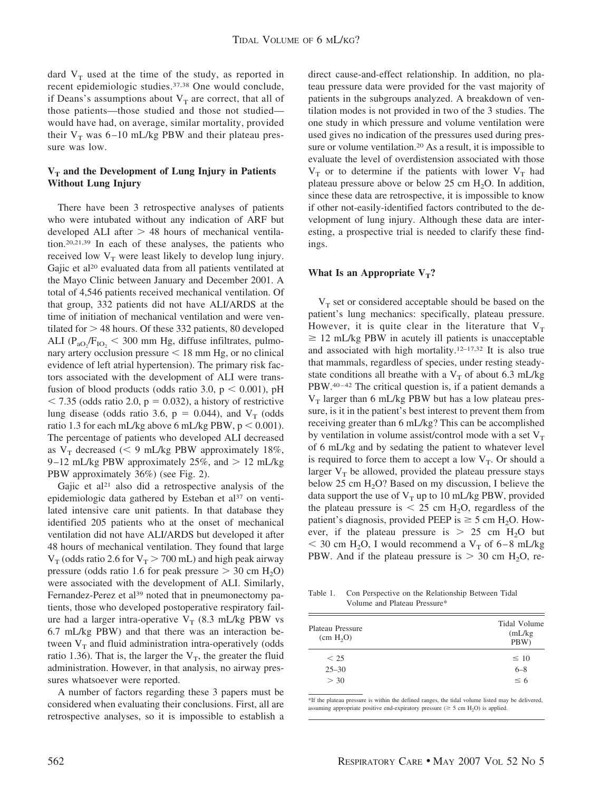dard  $V_T$  used at the time of the study, as reported in recent epidemiologic studies.37,38 One would conclude, if Deans's assumptions about  $V_T$  are correct, that all of those patients—those studied and those not studied would have had, on average, similar mortality, provided their  $V_T$  was 6–10 mL/kg PBW and their plateau pressure was low.

# V<sub>T</sub> and the Development of Lung Injury in Patients **Without Lung Injury**

There have been 3 retrospective analyses of patients who were intubated without any indication of ARF but developed ALI after  $> 48$  hours of mechanical ventilation.20,21,39 In each of these analyses, the patients who received low  $V_T$  were least likely to develop lung injury. Gajic et al<sup>20</sup> evaluated data from all patients ventilated at the Mayo Clinic between January and December 2001. A total of 4,546 patients received mechanical ventilation. Of that group, 332 patients did not have ALI/ARDS at the time of initiation of mechanical ventilation and were ventilated for  $> 48$  hours. Of these 332 patients, 80 developed ALI ( $P_{aO_2}/F_{IO_2}$  < 300 mm Hg, diffuse infiltrates, pulmonary artery occlusion pressure  $<$  18 mm Hg, or no clinical evidence of left atrial hypertension). The primary risk factors associated with the development of ALI were transfusion of blood products (odds ratio 3.0,  $p < 0.001$ ), pH  $<$  7.35 (odds ratio 2.0, p = 0.032), a history of restrictive lung disease (odds ratio 3.6,  $p = 0.044$ ), and  $V_T$  (odds ratio 1.3 for each mL/kg above 6 mL/kg PBW,  $p < 0.001$ ). The percentage of patients who developed ALI decreased as  $V_T$  decreased (< 9 mL/kg PBW approximately 18%, 9-12 mL/kg PBW approximately 25%, and  $> 12$  mL/kg PBW approximately 36%) (see Fig. 2).

Gajic et al<sup>21</sup> also did a retrospective analysis of the epidemiologic data gathered by Esteban et al<sup>37</sup> on ventilated intensive care unit patients. In that database they identified 205 patients who at the onset of mechanical ventilation did not have ALI/ARDS but developed it after 48 hours of mechanical ventilation. They found that large  $V_T$  (odds ratio 2.6 for  $V_T > 700$  mL) and high peak airway pressure (odds ratio 1.6 for peak pressure  $> 30$  cm H<sub>2</sub>O) were associated with the development of ALI. Similarly, Fernandez-Perez et al<sup>39</sup> noted that in pneumonectomy patients, those who developed postoperative respiratory failure had a larger intra-operative  $V_T$  (8.3 mL/kg PBW vs 6.7 mL/kg PBW) and that there was an interaction between  $V_T$  and fluid administration intra-operatively (odds ratio 1.36). That is, the larger the  $V_T$ , the greater the fluid administration. However, in that analysis, no airway pressures whatsoever were reported.

A number of factors regarding these 3 papers must be considered when evaluating their conclusions. First, all are retrospective analyses, so it is impossible to establish a direct cause-and-effect relationship. In addition, no plateau pressure data were provided for the vast majority of patients in the subgroups analyzed. A breakdown of ventilation modes is not provided in two of the 3 studies. The one study in which pressure and volume ventilation were used gives no indication of the pressures used during pressure or volume ventilation.20 As a result, it is impossible to evaluate the level of overdistension associated with those  $V_T$  or to determine if the patients with lower  $V_T$  had plateau pressure above or below 25 cm  $H_2O$ . In addition, since these data are retrospective, it is impossible to know if other not-easily-identified factors contributed to the development of lung injury. Although these data are interesting, a prospective trial is needed to clarify these findings.

# What Is an Appropriate  $V_T$ ?

 $V<sub>T</sub>$  set or considered acceptable should be based on the patient's lung mechanics: specifically, plateau pressure. However, it is quite clear in the literature that  $V_T$  $\geq$  12 mL/kg PBW in acutely ill patients is unacceptable and associated with high mortality.12–17,32 It is also true that mammals, regardless of species, under resting steadystate conditions all breathe with a  $V<sub>T</sub>$  of about 6.3 mL/kg  $PBW.^{40-42}$  The critical question is, if a patient demands a  $V_T$  larger than 6 mL/kg PBW but has a low plateau pressure, is it in the patient's best interest to prevent them from receiving greater than 6 mL/kg? This can be accomplished by ventilation in volume assist/control mode with a set  $V_T$ of 6 mL/kg and by sedating the patient to whatever level is required to force them to accept a low  $V_T$ . Or should a larger  $V_T$  be allowed, provided the plateau pressure stays below 25 cm  $H<sub>2</sub>O$ ? Based on my discussion, I believe the data support the use of  $V_T$  up to 10 mL/kg PBW, provided the plateau pressure is  $\leq 25$  cm H<sub>2</sub>O, regardless of the patient's diagnosis, provided PEEP is  $\geq$  5 cm H<sub>2</sub>O. However, if the plateau pressure is  $> 25$  cm H<sub>2</sub>O but  $<$  30 cm H<sub>2</sub>O, I would recommend a V<sub>T</sub> of 6–8 mL/kg PBW. And if the plateau pressure is  $> 30$  cm H<sub>2</sub>O, re-

Table 1. Con Perspective on the Relationship Between Tidal Volume and Plateau Pressure\*

| Plateau Pressure<br>(cm H <sub>2</sub> O) | Tidal Volume<br>(mL/kg)<br>PBW) |
|-------------------------------------------|---------------------------------|
| < 25                                      | $\leq 10$                       |
| $25 - 30$                                 | $6 - 8$                         |
| > 30                                      | $\leq 6$                        |

\*If the plateau pressure is within the defined ranges, the tidal volume listed may be delivered, assuming appropriate positive end-expiratory pressure ( $\geq$  5 cm H<sub>2</sub>O) is applied.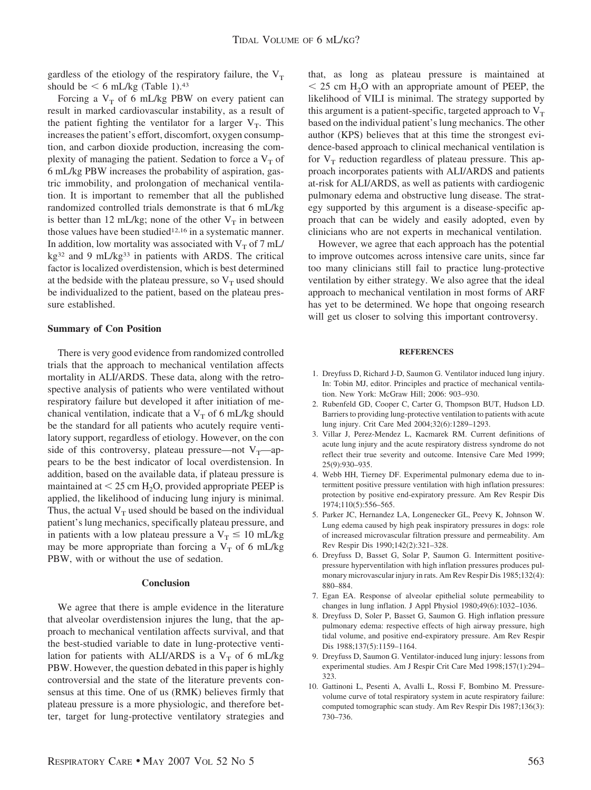gardless of the etiology of the respiratory failure, the  $V_T$ should be  $\leq 6$  mL/kg (Table 1).<sup>43</sup>

Forcing a  $V_T$  of 6 mL/kg PBW on every patient can result in marked cardiovascular instability, as a result of the patient fighting the ventilator for a larger  $V_T$ . This increases the patient's effort, discomfort, oxygen consumption, and carbon dioxide production, increasing the complexity of managing the patient. Sedation to force a  $V<sub>T</sub>$  of 6 mL/kg PBW increases the probability of aspiration, gastric immobility, and prolongation of mechanical ventilation. It is important to remember that all the published randomized controlled trials demonstrate is that 6 mL/kg is better than 12 mL/kg; none of the other  $V_T$  in between those values have been studied<sup>12,16</sup> in a systematic manner. In addition, low mortality was associated with  $V<sub>T</sub>$  of 7 mL/ kg32 and 9 mL/kg33 in patients with ARDS. The critical factor is localized overdistension, which is best determined at the bedside with the plateau pressure, so  $V_T$  used should be individualized to the patient, based on the plateau pressure established.

# **Summary of Con Position**

There is very good evidence from randomized controlled trials that the approach to mechanical ventilation affects mortality in ALI/ARDS. These data, along with the retrospective analysis of patients who were ventilated without respiratory failure but developed it after initiation of mechanical ventilation, indicate that a  $V_T$  of 6 mL/kg should be the standard for all patients who acutely require ventilatory support, regardless of etiology. However, on the con side of this controversy, plateau pressure—not  $V_T$ —appears to be the best indicator of local overdistension. In addition, based on the available data, if plateau pressure is maintained at  $\leq 25$  cm H<sub>2</sub>O, provided appropriate PEEP is applied, the likelihood of inducing lung injury is minimal. Thus, the actual  $V_T$  used should be based on the individual patient's lung mechanics, specifically plateau pressure, and in patients with a low plateau pressure a  $V_T \le 10$  mL/kg may be more appropriate than forcing a  $V<sub>T</sub>$  of 6 mL/kg PBW, with or without the use of sedation.

#### **Conclusion**

We agree that there is ample evidence in the literature that alveolar overdistension injures the lung, that the approach to mechanical ventilation affects survival, and that the best-studied variable to date in lung-protective ventilation for patients with ALI/ARDS is a  $V_T$  of 6 mL/kg PBW. However, the question debated in this paper is highly controversial and the state of the literature prevents consensus at this time. One of us (RMK) believes firmly that plateau pressure is a more physiologic, and therefore better, target for lung-protective ventilatory strategies and

that, as long as plateau pressure is maintained at  $<$  25 cm H<sub>2</sub>O with an appropriate amount of PEEP, the likelihood of VILI is minimal. The strategy supported by this argument is a patient-specific, targeted approach to  $V<sub>T</sub>$ based on the individual patient's lung mechanics. The other author (KPS) believes that at this time the strongest evidence-based approach to clinical mechanical ventilation is for  $V_T$  reduction regardless of plateau pressure. This approach incorporates patients with ALI/ARDS and patients at-risk for ALI/ARDS, as well as patients with cardiogenic pulmonary edema and obstructive lung disease. The strategy supported by this argument is a disease-specific approach that can be widely and easily adopted, even by clinicians who are not experts in mechanical ventilation.

However, we agree that each approach has the potential to improve outcomes across intensive care units, since far too many clinicians still fail to practice lung-protective ventilation by either strategy. We also agree that the ideal approach to mechanical ventilation in most forms of ARF has yet to be determined. We hope that ongoing research will get us closer to solving this important controversy.

#### **REFERENCES**

- 1. Dreyfuss D, Richard J-D, Saumon G. Ventilator induced lung injury. In: Tobin MJ, editor. Principles and practice of mechanical ventilation. New York: McGraw Hill; 2006: 903–930.
- 2. Rubenfeld GD, Cooper C, Carter G, Thompson BUT, Hudson LD. Barriers to providing lung-protective ventilation to patients with acute lung injury. Crit Care Med 2004;32(6):1289–1293.
- 3. Villar J, Perez-Mendez L, Kacmarek RM. Current definitions of acute lung injury and the acute respiratory distress syndrome do not reflect their true severity and outcome. Intensive Care Med 1999; 25(9):930–935.
- 4. Webb HH, Tierney DF. Experimental pulmonary edema due to intermittent positive pressure ventilation with high inflation pressures: protection by positive end-expiratory pressure. Am Rev Respir Dis 1974;110(5):556–565.
- 5. Parker JC, Hernandez LA, Longenecker GL, Peevy K, Johnson W. Lung edema caused by high peak inspiratory pressures in dogs: role of increased microvascular filtration pressure and permeability. Am Rev Respir Dis 1990;142(2):321–328.
- 6. Dreyfuss D, Basset G, Solar P, Saumon G. Intermittent positivepressure hyperventilation with high inflation pressures produces pulmonary microvascular injury in rats. Am Rev Respir Dis 1985;132(4): 880–884.
- 7. Egan EA. Response of alveolar epithelial solute permeability to changes in lung inflation. J Appl Physiol 1980;49(6):1032–1036.
- 8. Dreyfuss D, Soler P, Basset G, Saumon G. High inflation pressure pulmonary edema: respective effects of high airway pressure, high tidal volume, and positive end-expiratory pressure. Am Rev Respir Dis 1988;137(5):1159–1164.
- 9. Dreyfuss D, Saumon G. Ventilator-induced lung injury: lessons from experimental studies. Am J Respir Crit Care Med 1998;157(1):294– 323.
- 10. Gattinoni L, Pesenti A, Avalli L, Rossi F, Bombino M. Pressurevolume curve of total respiratory system in acute respiratory failure: computed tomographic scan study. Am Rev Respir Dis 1987;136(3): 730–736.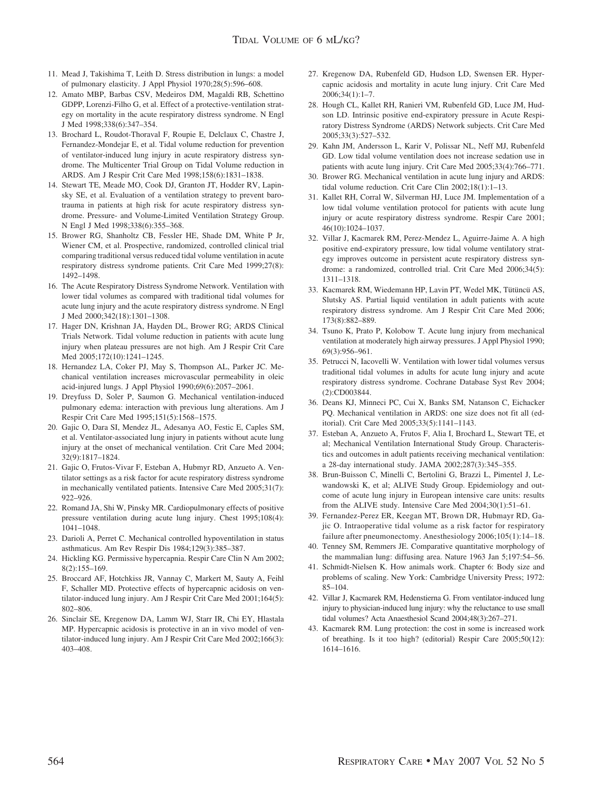- 11. Mead J, Takishima T, Leith D. Stress distribution in lungs: a model of pulmonary elasticity. J Appl Physiol 1970;28(5):596–608.
- 12. Amato MBP, Barbas CSV, Medeiros DM, Magaldi RB, Schettino GDPP, Lorenzi-Filho G, et al. Effect of a protective-ventilation strategy on mortality in the acute respiratory distress syndrome. N Engl J Med 1998;338(6):347–354.
- 13. Brochard L, Roudot-Thoraval F, Roupie E, Delclaux C, Chastre J, Fernandez-Mondejar E, et al. Tidal volume reduction for prevention of ventilator-induced lung injury in acute respiratory distress syndrome. The Multicenter Trial Group on Tidal Volume reduction in ARDS. Am J Respir Crit Care Med 1998;158(6):1831–1838.
- 14. Stewart TE, Meade MO, Cook DJ, Granton JT, Hodder RV, Lapinsky SE, et al. Evaluation of a ventilation strategy to prevent barotrauma in patients at high risk for acute respiratory distress syndrome. Pressure- and Volume-Limited Ventilation Strategy Group. N Engl J Med 1998;338(6):355–368.
- 15. Brower RG, Shanholtz CB, Fessler HE, Shade DM, White P Jr, Wiener CM, et al. Prospective, randomized, controlled clinical trial comparing traditional versus reduced tidal volume ventilation in acute respiratory distress syndrome patients. Crit Care Med 1999;27(8): 1492–1498.
- 16. The Acute Respiratory Distress Syndrome Network. Ventilation with lower tidal volumes as compared with traditional tidal volumes for acute lung injury and the acute respiratory distress syndrome. N Engl J Med 2000;342(18):1301–1308.
- 17. Hager DN, Krishnan JA, Hayden DL, Brower RG; ARDS Clinical Trials Network. Tidal volume reduction in patients with acute lung injury when plateau pressures are not high. Am J Respir Crit Care Med 2005;172(10):1241–1245.
- 18. Hernandez LA, Coker PJ, May S, Thompson AL, Parker JC. Mechanical ventilation increases microvascular permeability in oleic acid-injured lungs. J Appl Physiol 1990;69(6):2057–2061.
- 19. Dreyfuss D, Soler P, Saumon G. Mechanical ventilation-induced pulmonary edema: interaction with previous lung alterations. Am J Respir Crit Care Med 1995;151(5):1568–1575.
- 20. Gajic O, Dara SI, Mendez JL, Adesanya AO, Festic E, Caples SM, et al. Ventilator-associated lung injury in patients without acute lung injury at the onset of mechanical ventilation. Crit Care Med 2004; 32(9):1817–1824.
- 21. Gajic O, Frutos-Vivar F, Esteban A, Hubmyr RD, Anzueto A. Ventilator settings as a risk factor for acute respiratory distress syndrome in mechanically ventilated patients. Intensive Care Med 2005;31(7): 922–926.
- 22. Romand JA, Shi W, Pinsky MR. Cardiopulmonary effects of positive pressure ventilation during acute lung injury. Chest 1995;108(4): 1041–1048.
- 23. Darioli A, Perret C. Mechanical controlled hypoventilation in status asthmaticus. Am Rev Respir Dis 1984;129(3):385–387.
- 24. Hickling KG. Permissive hypercapnia. Respir Care Clin N Am 2002; 8(2):155–169.
- 25. Broccard AF, Hotchkiss JR, Vannay C, Markert M, Sauty A, Feihl F, Schaller MD. Protective effects of hypercapnic acidosis on ventilator-induced lung injury. Am J Respir Crit Care Med 2001;164(5): 802–806.
- 26. Sinclair SE, Kregenow DA, Lamm WJ, Starr IR, Chi EY, Hlastala MP. Hypercapnic acidosis is protective in an in vivo model of ventilator-induced lung injury. Am J Respir Crit Care Med 2002;166(3): 403–408.
- 27. Kregenow DA, Rubenfeld GD, Hudson LD, Swensen ER. Hypercapnic acidosis and mortality in acute lung injury. Crit Care Med 2006;34(1):1–7.
- 28. Hough CL, Kallet RH, Ranieri VM, Rubenfeld GD, Luce JM, Hudson LD. Intrinsic positive end-expiratory pressure in Acute Respiratory Distress Syndrome (ARDS) Network subjects. Crit Care Med 2005;33(3):527–532.
- 29. Kahn JM, Andersson L, Karir V, Polissar NL, Neff MJ, Rubenfeld GD. Low tidal volume ventilation does not increase sedation use in patients with acute lung injury. Crit Care Med 2005;33(4):766–771.
- 30. Brower RG. Mechanical ventilation in acute lung injury and ARDS: tidal volume reduction. Crit Care Clin 2002;18(1):1–13.
- 31. Kallet RH, Corral W, Silverman HJ, Luce JM. Implementation of a low tidal volume ventilation protocol for patients with acute lung injury or acute respiratory distress syndrome. Respir Care 2001; 46(10):1024–1037.
- 32. Villar J, Kacmarek RM, Perez-Mendez L, Aguirre-Jaime A. A high positive end-expiratory pressure, low tidal volume ventilatory strategy improves outcome in persistent acute respiratory distress syndrome: a randomized, controlled trial. Crit Care Med 2006;34(5): 1311–1318.
- 33. Kacmarek RM, Wiedemann HP, Lavin PT, Wedel MK, Tütüncü AS, Slutsky AS. Partial liquid ventilation in adult patients with acute respiratory distress syndrome. Am J Respir Crit Care Med 2006; 173(8):882–889.
- 34. Tsuno K, Prato P, Kolobow T. Acute lung injury from mechanical ventilation at moderately high airway pressures. J Appl Physiol 1990; 69(3):956–961.
- 35. Petrucci N, Iacovelli W. Ventilation with lower tidal volumes versus traditional tidal volumes in adults for acute lung injury and acute respiratory distress syndrome. Cochrane Database Syst Rev 2004; (2):CD003844.
- 36. Deans KJ, Minneci PC, Cui X, Banks SM, Natanson C, Eichacker PQ. Mechanical ventilation in ARDS: one size does not fit all (editorial). Crit Care Med 2005;33(5):1141–1143.
- 37. Esteban A, Anzueto A, Frutos F, Alia I, Brochard L, Stewart TE, et al; Mechanical Ventilation International Study Group. Characteristics and outcomes in adult patients receiving mechanical ventilation: a 28-day international study. JAMA 2002;287(3):345–355.
- 38. Brun-Buisson C, Minelli C, Bertolini G, Brazzi L, Pimentel J, Lewandowski K, et al; ALIVE Study Group. Epidemiology and outcome of acute lung injury in European intensive care units: results from the ALIVE study. Intensive Care Med 2004;30(1):51–61.
- 39. Fernandez-Perez ER, Keegan MT, Brown DR, Hubmayr RD, Gajic O. Intraoperative tidal volume as a risk factor for respiratory failure after pneumonectomy. Anesthesiology 2006;105(1):14–18.
- 40. Tenney SM, Remmers JE. Comparative quantitative morphology of the mammalian lung: diffusing area. Nature 1963 Jan 5;197:54–56.
- 41. Schmidt-Nielsen K. How animals work. Chapter 6: Body size and problems of scaling. New York: Cambridge University Press; 1972: 85–104.
- 42. Villar J, Kacmarek RM, Hedenstierna G. From ventilator-induced lung injury to physician-induced lung injury: why the reluctance to use small tidal volumes? Acta Anaesthesiol Scand 2004;48(3):267–271.
- 43. Kacmarek RM. Lung protection: the cost in some is increased work of breathing. Is it too high? (editorial) Respir Care 2005;50(12): 1614–1616.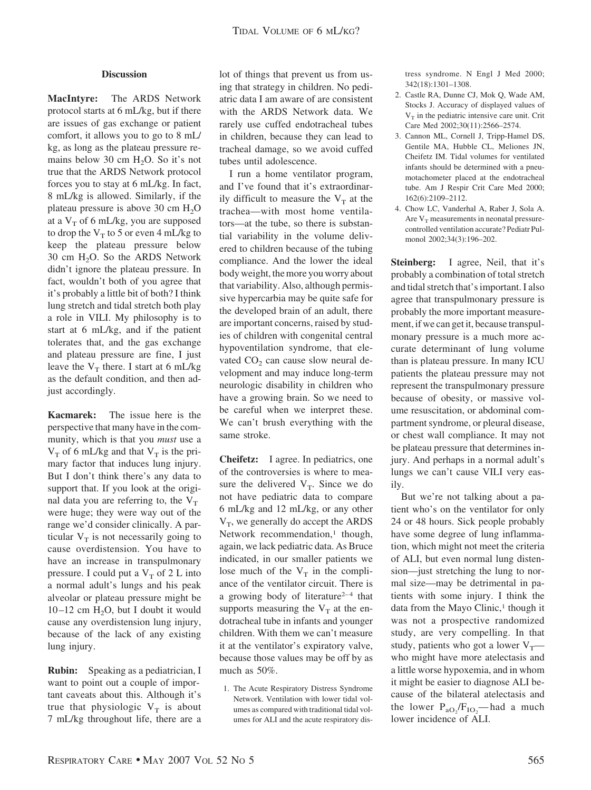#### **Discussion**

**MacIntyre:** The ARDS Network protocol starts at 6 mL/kg, but if there are issues of gas exchange or patient comfort, it allows you to go to 8 mL/ kg, as long as the plateau pressure remains below 30 cm  $H_2O$ . So it's not true that the ARDS Network protocol forces you to stay at 6 mL/kg. In fact, 8 mL/kg is allowed. Similarly, if the plateau pressure is above 30 cm  $H_2O$ at a  $V<sub>T</sub>$  of 6 mL/kg, you are supposed to drop the  $V_T$  to 5 or even 4 mL/kg to keep the plateau pressure below 30 cm  $H_2O$ . So the ARDS Network didn't ignore the plateau pressure. In fact, wouldn't both of you agree that it's probably a little bit of both? I think lung stretch and tidal stretch both play a role in VILI. My philosophy is to start at 6 mL/kg, and if the patient tolerates that, and the gas exchange and plateau pressure are fine, I just leave the  $V_T$  there. I start at 6 mL/kg as the default condition, and then adjust accordingly.

**Kacmarek:** The issue here is the perspective that many have in the community, which is that you *must* use a  $V_T$  of 6 mL/kg and that  $V_T$  is the primary factor that induces lung injury. But I don't think there's any data to support that. If you look at the original data you are referring to, the  $V_T$ were huge; they were way out of the range we'd consider clinically. A particular  $V_T$  is not necessarily going to cause overdistension. You have to have an increase in transpulmonary pressure. I could put a  $V_T$  of 2 L into a normal adult's lungs and his peak alveolar or plateau pressure might be  $10 - 12$  cm H<sub>2</sub>O, but I doubt it would cause any overdistension lung injury, because of the lack of any existing lung injury.

**Rubin:** Speaking as a pediatrician, I want to point out a couple of important caveats about this. Although it's true that physiologic  $V_T$  is about 7 mL/kg throughout life, there are a lot of things that prevent us from using that strategy in children. No pediatric data I am aware of are consistent with the ARDS Network data. We rarely use cuffed endotracheal tubes in children, because they can lead to tracheal damage, so we avoid cuffed tubes until adolescence.

I run a home ventilator program, and I've found that it's extraordinarily difficult to measure the  $V_T$  at the trachea—with most home ventilators—at the tube, so there is substantial variability in the volume delivered to children because of the tubing compliance. And the lower the ideal body weight, the more you worry about that variability. Also, although permissive hypercarbia may be quite safe for the developed brain of an adult, there are important concerns, raised by studies of children with congenital central hypoventilation syndrome, that elevated  $CO<sub>2</sub>$  can cause slow neural development and may induce long-term neurologic disability in children who have a growing brain. So we need to be careful when we interpret these. We can't brush everything with the same stroke.

**Cheifetz:** I agree. In pediatrics, one of the controversies is where to measure the delivered  $V_T$ . Since we do not have pediatric data to compare 6 mL/kg and 12 mL/kg, or any other  $V_T$ , we generally do accept the ARDS Network recommendation,<sup>1</sup> though, again, we lack pediatric data. As Bruce indicated, in our smaller patients we lose much of the  $V_T$  in the compliance of the ventilator circuit. There is a growing body of literature<sup>2-4</sup> that supports measuring the  $V_T$  at the endotracheal tube in infants and younger children. With them we can't measure it at the ventilator's expiratory valve, because those values may be off by as much as 50%.

1. The Acute Respiratory Distress Syndrome Network. Ventilation with lower tidal volumes as compared with traditional tidal volumes for ALI and the acute respiratory distress syndrome. N Engl J Med 2000; 342(18):1301–1308.

- 2. Castle RA, Dunne CJ, Mok Q, Wade AM, Stocks J. Accuracy of displayed values of  $V<sub>T</sub>$  in the pediatric intensive care unit. Crit Care Med 2002;30(11):2566–2574.
- 3. Cannon ML, Cornell J, Tripp-Hamel DS, Gentile MA, Hubble CL, Meliones JN, Cheifetz IM. Tidal volumes for ventilated infants should be determined with a pneumotachometer placed at the endotracheal tube. Am J Respir Crit Care Med 2000; 162(6):2109–2112.
- 4. Chow LC, Vanderhal A, Raber J, Sola A. Are  $V_T$  measurements in neonatal pressurecontrolled ventilation accurate? Pediatr Pulmonol 2002;34(3):196–202.

**Steinberg:** I agree, Neil, that it's probably a combination of total stretch and tidal stretch that's important. I also agree that transpulmonary pressure is probably the more important measurement, if we can get it, because transpulmonary pressure is a much more accurate determinant of lung volume than is plateau pressure. In many ICU patients the plateau pressure may not represent the transpulmonary pressure because of obesity, or massive volume resuscitation, or abdominal compartment syndrome, or pleural disease, or chest wall compliance. It may not be plateau pressure that determines injury. And perhaps in a normal adult's lungs we can't cause VILI very easily.

But we're not talking about a patient who's on the ventilator for only 24 or 48 hours. Sick people probably have some degree of lung inflammation, which might not meet the criteria of ALI, but even normal lung distension—just stretching the lung to normal size—may be detrimental in patients with some injury. I think the data from the Mayo Clinic,<sup>1</sup> though it was not a prospective randomized study, are very compelling. In that study, patients who got a lower  $V_T$  who might have more atelectasis and a little worse hypoxemia, and in whom it might be easier to diagnose ALI because of the bilateral atelectasis and the lower  $P_{aO_2}/F_{IO_2}$ —had a much lower incidence of ALI.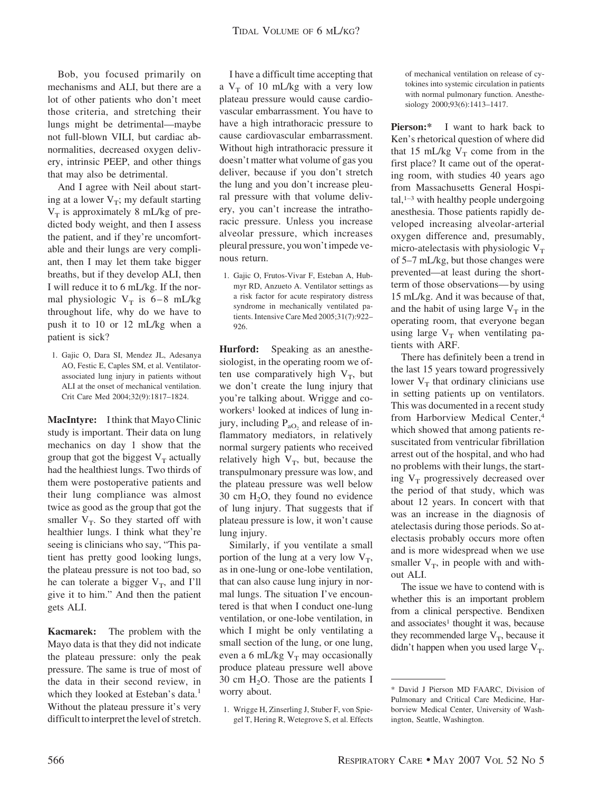Bob, you focused primarily on mechanisms and ALI, but there are a lot of other patients who don't meet those criteria, and stretching their lungs might be detrimental—maybe not full-blown VILI, but cardiac abnormalities, decreased oxygen delivery, intrinsic PEEP, and other things that may also be detrimental.

And I agree with Neil about starting at a lower  $V_T$ ; my default starting  $V_T$  is approximately 8 mL/kg of predicted body weight, and then I assess the patient, and if they're uncomfortable and their lungs are very compliant, then I may let them take bigger breaths, but if they develop ALI, then I will reduce it to 6 mL/kg. If the normal physiologic  $V_T$  is 6–8 mL/kg throughout life, why do we have to push it to 10 or 12 mL/kg when a patient is sick?

1. Gajic O, Dara SI, Mendez JL, Adesanya AO, Festic E, Caples SM, et al. Ventilatorassociated lung injury in patients without ALI at the onset of mechanical ventilation. Crit Care Med 2004;32(9):1817–1824.

**MacIntyre:** I think that Mayo Clinic study is important. Their data on lung mechanics on day 1 show that the group that got the biggest  $V_T$  actually had the healthiest lungs. Two thirds of them were postoperative patients and their lung compliance was almost twice as good as the group that got the smaller  $V_T$ . So they started off with healthier lungs. I think what they're seeing is clinicians who say, "This patient has pretty good looking lungs, the plateau pressure is not too bad, so he can tolerate a bigger  $V_T$ , and I'll give it to him." And then the patient gets ALI.

**Kacmarek:** The problem with the Mayo data is that they did not indicate the plateau pressure: only the peak pressure. The same is true of most of the data in their second review, in which they looked at Esteban's data.<sup>1</sup> Without the plateau pressure it's very difficult to interpret the level of stretch.

I have a difficult time accepting that a  $V_T$  of 10 mL/kg with a very low plateau pressure would cause cardiovascular embarrassment. You have to have a high intrathoracic pressure to cause cardiovascular embarrassment. Without high intrathoracic pressure it doesn't matter what volume of gas you deliver, because if you don't stretch the lung and you don't increase pleural pressure with that volume delivery, you can't increase the intrathoracic pressure. Unless you increase alveolar pressure, which increases pleural pressure, you won't impede venous return.

1. Gajic O, Frutos-Vivar F, Esteban A, Hubmyr RD, Anzueto A. Ventilator settings as a risk factor for acute respiratory distress syndrome in mechanically ventilated patients. Intensive Care Med 2005;31(7):922– 926.

**Hurford:** Speaking as an anesthesiologist, in the operating room we often use comparatively high  $V_T$ , but we don't create the lung injury that you're talking about. Wrigge and coworkers<sup>1</sup> looked at indices of lung injury, including  $P_{aO}$  and release of inflammatory mediators, in relatively normal surgery patients who received relatively high  $V_T$ , but, because the transpulmonary pressure was low, and the plateau pressure was well below 30 cm  $H_2O$ , they found no evidence of lung injury. That suggests that if plateau pressure is low, it won't cause lung injury.

Similarly, if you ventilate a small portion of the lung at a very low  $V_T$ , as in one-lung or one-lobe ventilation, that can also cause lung injury in normal lungs. The situation I've encountered is that when I conduct one-lung ventilation, or one-lobe ventilation, in which I might be only ventilating a small section of the lung, or one lung, even a 6 mL/kg  $V_T$  may occasionally produce plateau pressure well above 30 cm  $H_2O$ . Those are the patients I worry about.

1. Wrigge H, Zinserling J, Stuber F, von Spiegel T, Hering R, Wetegrove S, et al. Effects of mechanical ventilation on release of cytokines into systemic circulation in patients with normal pulmonary function. Anesthesiology 2000;93(6):1413–1417.

**Pierson:\*** I want to hark back to Ken's rhetorical question of where did that 15 mL/kg  $V_T$  come from in the first place? It came out of the operating room, with studies 40 years ago from Massachusetts General Hospital, $1-3$  with healthy people undergoing anesthesia. Those patients rapidly developed increasing alveolar-arterial oxygen difference and, presumably, micro-atelectasis with physiologic  $V_T$ of 5–7 mL/kg, but those changes were prevented—at least during the shortterm of those observations— by using 15 mL/kg. And it was because of that, and the habit of using large  $V_T$  in the operating room, that everyone began using large  $V_T$  when ventilating patients with ARF.

There has definitely been a trend in the last 15 years toward progressively lower  $V_T$  that ordinary clinicians use in setting patients up on ventilators. This was documented in a recent study from Harborview Medical Center,4 which showed that among patients resuscitated from ventricular fibrillation arrest out of the hospital, and who had no problems with their lungs, the starting  $V_T$  progressively decreased over the period of that study, which was about 12 years. In concert with that was an increase in the diagnosis of atelectasis during those periods. So atelectasis probably occurs more often and is more widespread when we use smaller  $V_T$ , in people with and without ALI.

The issue we have to contend with is whether this is an important problem from a clinical perspective. Bendixen and associates<sup>1</sup> thought it was, because they recommended large  $V_T$ , because it didn't happen when you used large  $V_T$ .

<sup>\*</sup> David J Pierson MD FAARC, Division of Pulmonary and Critical Care Medicine, Harborview Medical Center, University of Washington, Seattle, Washington.